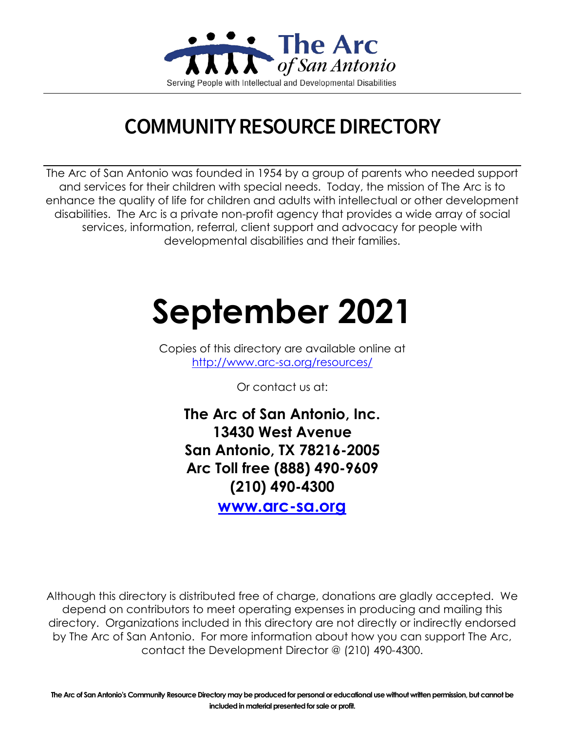

# **COMMUNITY RESOURCE DIRECTORY**

The Arc of San Antonio was founded in 1954 by a group of parents who needed support and services for their children with special needs. Today, the mission of The Arc is to enhance the quality of life for children and adults with intellectual or other development disabilities. The Arc is a private non-profit agency that provides a wide array of social services, information, referral, client support and advocacy for people with developmental disabilities and their families.

# **September 2021**

Copies of this directory are available online at <http://www.arc-sa.org/resources/>

Or contact us at:

**The Arc of San Antonio, Inc. 13430 West Avenue San Antonio, TX 78216-2005 Arc Toll free (888) 490-9609 (210) 490-4300**

**[www.arc-sa.org](http://www.arc-sa.org/)**

Although this directory is distributed free of charge, donations are gladly accepted. We depend on contributors to meet operating expenses in producing and mailing this directory. Organizations included in this directory are not directly or indirectly endorsed by The Arc of San Antonio. For more information about how you can support The Arc, contact the Development Director @ (210) 490-4300.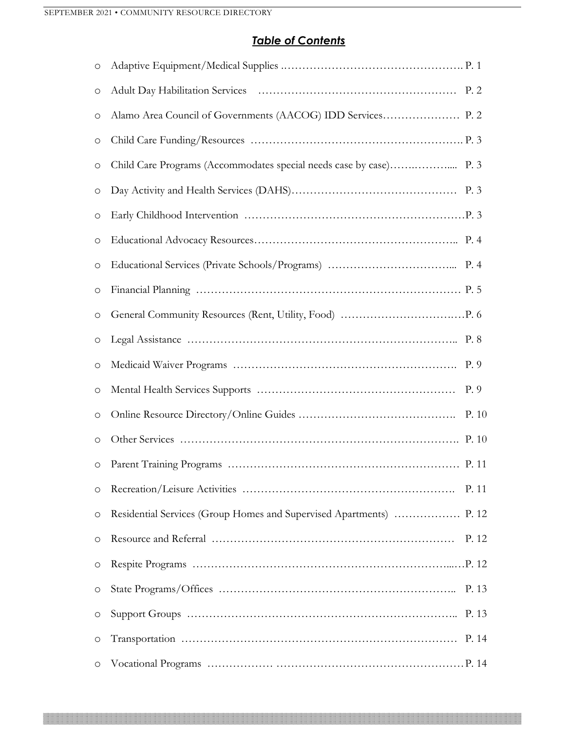## *Table of Contents*

| O                   |                                                                     |       |
|---------------------|---------------------------------------------------------------------|-------|
| $\circlearrowright$ |                                                                     |       |
| $\circlearrowright$ |                                                                     |       |
| $\circ$             |                                                                     |       |
| $\circlearrowright$ |                                                                     |       |
| $\circlearrowright$ |                                                                     |       |
| $\circlearrowright$ |                                                                     |       |
| $\circlearrowright$ |                                                                     |       |
| $\bigcirc$          |                                                                     |       |
| $\circlearrowright$ |                                                                     |       |
| $\circlearrowright$ |                                                                     |       |
| $\circ$             |                                                                     |       |
| $\bigcirc$          |                                                                     |       |
| $\circlearrowright$ |                                                                     | P. 9  |
| $\circ$             |                                                                     | P. 10 |
| $\circ$             |                                                                     |       |
| $\circ$             |                                                                     |       |
| $\circ$             |                                                                     | P. 11 |
| $\circ$             | Residential Services (Group Homes and Supervised Apartments)  P. 12 |       |
| $\circ$             |                                                                     | P. 12 |
| $\circlearrowright$ |                                                                     |       |
| $\circ$             |                                                                     | P. 13 |
| $\circ$             |                                                                     |       |
| $\circlearrowright$ |                                                                     |       |
| O                   |                                                                     |       |

1990 - Parti de Santo Galicio de Santo de Santo de Santo de Santo de Santo de Santo de Santo de Santo de Santo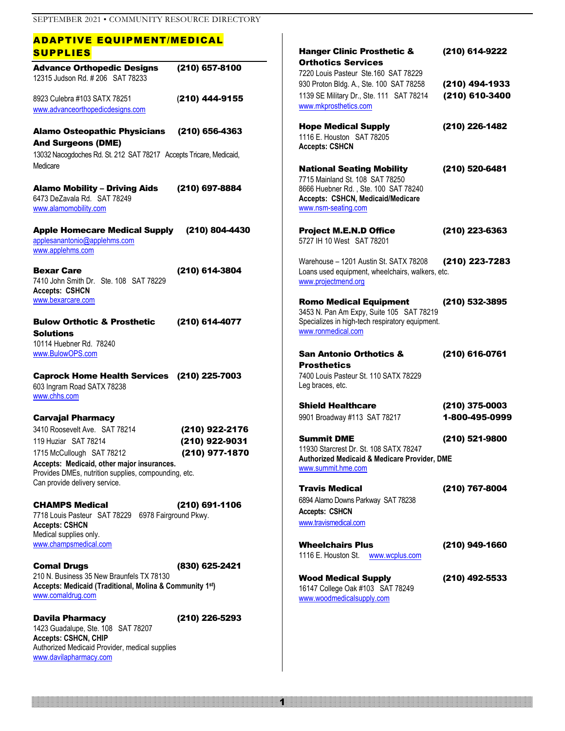| <b>ADAPTIVE EQUIPMENT/MEDICAL</b>                                                                                              |                                  |                                                                                                                                                                         |                                  |
|--------------------------------------------------------------------------------------------------------------------------------|----------------------------------|-------------------------------------------------------------------------------------------------------------------------------------------------------------------------|----------------------------------|
| <b>SUPPLIES</b>                                                                                                                |                                  | <b>Hanger Clinic Prosthetic &amp;</b>                                                                                                                                   | (210) 614-9222                   |
| <b>Advance Orthopedic Designs</b><br>12315 Judson Rd. #206 SAT 78233                                                           | (210) 657-8100                   | <b>Orthotics Services</b><br>7220 Louis Pasteur Ste.160 SAT 78229<br>930 Proton Bldg. A., Ste. 100 SAT 78258                                                            | (210) 494-1933                   |
| 8923 Culebra #103 SATX 78251<br>www.advanceorthopedicdesigns.com                                                               | (210) 444-9155                   | 1139 SE Military Dr., Ste. 111 SAT 78214<br>www.mkprosthetics.com                                                                                                       | (210) 610-3400                   |
| <b>Alamo Osteopathic Physicians</b><br><b>And Surgeons (DME)</b>                                                               | $(210)$ 656-4363                 | <b>Hope Medical Supply</b><br>1116 E. Houston SAT 78205<br><b>Accepts: CSHCN</b>                                                                                        | (210) 226-1482                   |
| 13032 Nacogdoches Rd. St. 212 SAT 78217 Accepts Tricare, Medicaid,<br>Medicare                                                 |                                  |                                                                                                                                                                         | (210) 520-6481                   |
| <b>Alamo Mobility - Driving Aids</b><br>6473 DeZavala Rd. SAT 78249<br>www.alamomobility.com                                   | (210) 697-8884                   | <b>National Seating Mobility</b><br>7715 Mainland St. 108 SAT 78250<br>8666 Huebner Rd., Ste. 100 SAT 78240<br>Accepts: CSHCN, Medicaid/Medicare<br>www.nsm-seating.com |                                  |
| <b>Apple Homecare Medical Supply</b><br>applesanantonio@applehms.com<br>www.applehms.com                                       | (210) 804-4430                   | <b>Project M.E.N.D Office</b><br>5727 IH 10 West SAT 78201                                                                                                              | (210) 223-6363                   |
| <b>Bexar Care</b><br>7410 John Smith Dr. Ste. 108 SAT 78229<br><b>Accepts: CSHCN</b>                                           | (210) 614-3804                   | Warehouse - 1201 Austin St. SATX 78208<br>Loans used equipment, wheelchairs, walkers, etc.<br>www.projectmend.org                                                       | (210) 223-7283                   |
| www.bexarcare.com<br><b>Bulow Orthotic &amp; Prosthetic</b><br><b>Solutions</b>                                                | (210) 614-4077                   | <b>Romo Medical Equipment</b><br>3453 N. Pan Am Expy, Suite 105 SAT 78219<br>Specializes in high-tech respiratory equipment.<br>www.ronmedical.com                      | (210) 532-3895                   |
| 10114 Huebner Rd. 78240<br>www.BulowOPS.com                                                                                    |                                  | <b>San Antonio Orthotics &amp;</b><br><b>Prosthetics</b>                                                                                                                | (210) 616-0761                   |
| Caprock Home Health Services (210) 225-7003<br>603 Ingram Road SATX 78238<br>www.chhs.com                                      |                                  | 7400 Louis Pasteur St. 110 SATX 78229<br>Leg braces, etc.                                                                                                               |                                  |
| <b>Carvajal Pharmacy</b>                                                                                                       |                                  | <b>Shield Healthcare</b><br>9901 Broadway #113 SAT 78217                                                                                                                | (210) 375-0003<br>1-800-495-0999 |
| 3410 Roosevelt Ave. SAT 78214                                                                                                  | (210) 922-2176                   |                                                                                                                                                                         |                                  |
| 119 Huziar SAT 78214<br>1715 McCullough SAT 78212<br>Accepts: Medicaid, other major insurances.                                | (210) 922-9031<br>(210) 977-1870 | <b>Summit DME</b><br>11930 Starcrest Dr. St. 108 SATX 78247<br>Authorized Medicaid & Medicare Provider, DME<br>www.summit.hme.com                                       | (210) 521-9800                   |
| Provides DMEs, nutrition supplies, compounding, etc.<br>Can provide delivery service.                                          |                                  |                                                                                                                                                                         |                                  |
| <b>CHAMPS Medical</b><br>7718 Louis Pasteur SAT 78229 6978 Fairground Pkwy.<br><b>Accepts: CSHCN</b><br>Medical supplies only. | (210) 691-1106                   | <b>Travis Medical</b><br>6894 Alamo Downs Parkway SAT 78238<br><b>Accepts: CSHCN</b><br>www.travismedical.com                                                           | (210) 767-8004                   |
| www.champsmedical.com                                                                                                          |                                  | <b>Wheelchairs Plus</b><br>1116 E. Houston St. www.wcplus.com                                                                                                           | (210) 949-1660                   |
| <b>Comal Drugs</b>                                                                                                             | (830) 625-2421                   |                                                                                                                                                                         |                                  |
| 210 N. Business 35 New Braunfels TX 78130<br>Accepts: Medicaid (Traditional, Molina & Community 1st)<br>www.comaldrug.com      |                                  | <b>Wood Medical Supply</b><br>16147 College Oak #103 SAT 78249<br>www.woodmedicalsupply.com                                                                             | (210) 492-5533                   |
| <b>Davila Pharmacy</b><br>$1102$ Cuadeline, $Q_{12}$ , $100$ , $Q_{1}$ $70007$                                                 | (210) 226-5293                   |                                                                                                                                                                         |                                  |

1

1423 Guadalupe, Ste. 108 SAT 78207 **Accepts: CSHCN, CHIP** Authorized Medicaid Provider, medical supplies [www.davilapharmacy.com](http://www.davilapharmacy.com/)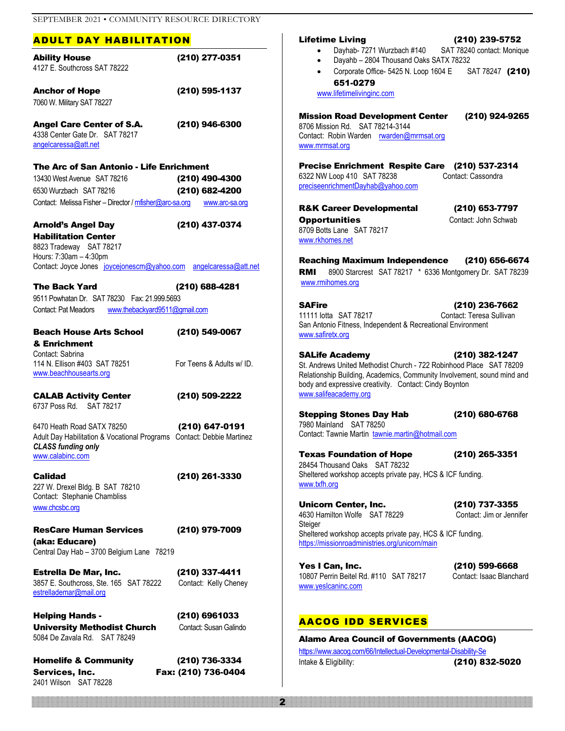#### ADULT DAY HABILITATION

2401 Wilson SAT 78228

| <b>Ability House</b>                                                                       | (210) 277-0351                          | Dayh<br>٠<br>Daya<br>$\bullet$        |
|--------------------------------------------------------------------------------------------|-----------------------------------------|---------------------------------------|
| 4127 E. Southcross SAT 78222                                                               |                                         | Corpo<br>$\bullet$                    |
| <b>Anchor of Hope</b>                                                                      | (210) 595-1137                          | 651                                   |
| 7060 W. Military SAT 78227                                                                 |                                         | www.lifetim                           |
| <b>Angel Care Center of S.A.</b>                                                           | (210) 946-6300                          | <b>Mission Roa</b>                    |
| 4338 Center Gate Dr. SAT 78217                                                             |                                         | 8706 Mission Rd<br>Contact: Robin \   |
| angelcaressa@att.net                                                                       |                                         | www.mrmsat.org                        |
| The Arc of San Antonio - Life Enrichment                                                   |                                         | <b>Precise Enri</b>                   |
| 13430 West Avenue SAT 78216                                                                | (210) 490-4300                          | 6322 NW Loop 4                        |
| 6530 Wurzbach SAT 78216                                                                    |                                         | preciseenrichmer                      |
| Contact: Melissa Fisher - Director / mfisher@arc-sa.org www.arc-sa.org                     | (210) 682-4200                          |                                       |
|                                                                                            |                                         | <b>R&amp;K Career</b>                 |
| <b>Arnold's Angel Day</b>                                                                  | (210) 437-0374                          | <b>Opportuniti</b><br>8709 Botts Lane |
| <b>Habilitation Center</b>                                                                 |                                         | www.rkhomes.ne                        |
| 8823 Tradeway SAT 78217                                                                    |                                         |                                       |
| Hours: 7:30am - 4:30pm<br>Contact: Joyce Jones joycejonescm@yahoo.com angelcaressa@att.net |                                         | <b>Reaching M</b>                     |
|                                                                                            |                                         | 8900 S<br>RMI                         |
| <b>The Back Yard</b>                                                                       | (210) 688-4281                          | www.rmihomes.                         |
| 9511 Powhatan Dr. SAT 78230 Fax: 21.999.5693                                               |                                         | <b>SAFire</b>                         |
| Contact: Pat Meadors www.thebackyard9511@gmail.com                                         |                                         | 11111 lotta SAT                       |
|                                                                                            |                                         | San Antonio Fitn                      |
| <b>Beach House Arts School</b>                                                             | (210) 549-0067                          | www.safiretx.org                      |
| & Enrichment                                                                               |                                         |                                       |
| Contact: Sabrina<br>114 N. Ellison #403 SAT 78251                                          | For Teens & Adults w/ ID.               | <b>SALife Acad</b>                    |
| www.beachhousearts.org                                                                     |                                         | St. Andrews Unit<br>Relationship Buil |
|                                                                                            |                                         | body and expres:                      |
| <b>CALAB Activity Center</b>                                                               | (210) 509-2222                          | www.salifeacade                       |
| 6737 Poss Rd. SAT 78217                                                                    |                                         |                                       |
|                                                                                            |                                         | <b>Stepping St</b>                    |
| 6470 Heath Road SATX 78250                                                                 | (210) 647-0191                          | 7980 Mainland<br>Contact: Tawnie      |
| Adult Day Habilitation & Vocational Programs Contact: Debbie Martinez                      |                                         |                                       |
| <b>CLASS funding only</b><br>www.calabinc.com                                              |                                         | <b>Texas Foun</b>                     |
|                                                                                            |                                         | 28454 Thousand                        |
| Calidad                                                                                    | (210) 261-3330                          | Sheltered worksh                      |
| 227 W. Drexel Bldg. B SAT 78210                                                            |                                         | www.txfh.org                          |
| Contact: Stephanie Chambliss                                                               |                                         |                                       |
| www.chcsbc.org                                                                             |                                         | Unicorn Cer<br>4630 Hamilton W        |
|                                                                                            |                                         | Steiger                               |
| <b>ResCare Human Services</b>                                                              | (210) 979-7009                          | Sheltered worksh                      |
| (aka: Educare)                                                                             |                                         | https://missionroa                    |
| Central Day Hab - 3700 Belgium Lane 78219                                                  |                                         |                                       |
| <b>Estrella De Mar, Inc.</b>                                                               | (210) 337-4411                          | Yes I Can, lı                         |
| 3857 E. Southcross, Ste. 165 SAT 78222                                                     | Contact: Kelly Cheney                   | 10807 Perrin Bei                      |
| estrellademar@mail.org                                                                     |                                         | www.yeslcaninc.                       |
|                                                                                            |                                         |                                       |
| <b>Helping Hands -</b><br><b>University Methodist Church</b>                               | (210) 6961033<br>Contact: Susan Galindo | <b>AACOG II</b>                       |
| 5084 De Zavala Rd. SAT 78249                                                               |                                         | Alamo Area                            |
|                                                                                            |                                         | https://www.aacog                     |
| <b>Homelife &amp; Community</b>                                                            | (210) 736-3334                          | Intake & Eligibility                  |
| Services, Inc.                                                                             | Fax: (210) 736-0404                     |                                       |

#### Lifetime Living (210) 239-5752

- hab- 7271 Wurzbach #140 SAT 78240 contact: Monique
- ahb 2804 Thousand Oaks SATX 78232
- vorate Office- 5425 N. Loop 1604 E SAT 78247 (210) 651-0279

melivinginc.com

## ad Development Center (210) 924-9265 d. SAT 78214-3144 Warden [rwarden@mrmsat.org](mailto:rwarden@mrmsat.org)

richment Respite Care (210) 537-2314

410 SAT 78238 Contact: Cassondra entDayhab@yahoo.com

r Developmental (210) 653-7797 **Contact: John Schwab** Contact: John Schwab SAT 78217 et

Raximum Independence (210) 656-6674

Starcrest SAT 78217 \* 6336 Montgomery Dr. SAT 78239 worg.

(210) 236-7662 T 78217 Contact: Teresa Sullivan ness, Independent & Recreational Environment [www.safiretx.org](http://www.safiretx.org/)

demy (210) 382-1247 ited Methodist Church - 722 Robinhood Place SAT 78209 ilding, Academics, Community Involvement, sound mind and ssive creativity. Contact: Cindy Boynton emy.org

tones Day Hab (210) 680-6768 SAT 78250 Martin [tawnie.martin@hotmail.com](mailto:tawnie.martin@hotmail.com)

ndation of Hope (210) 265-3351

d Oaks SAT 78232 hop accepts private pay, HCS & ICF funding.

nter. Inc. (210) 737-3355 Volfe SAT 78229 Contact: Jim or Jennifer hop accepts private pay, HCS & ICF funding. hadministries.org/unicorn/main

 $\textsf{Inc.} \hspace{2.5cm} (210) \hspace{1mm} 599\text{-}6668$ eitel Rd. #110 SAT 78217 Contact: Isaac Blanchard .com

#### DD SERVICES

2

a Council of Governments (AACOG) g.com/66/Intellectual-Developmental-Disability-Se  $\frac{1}{210}$  832-5020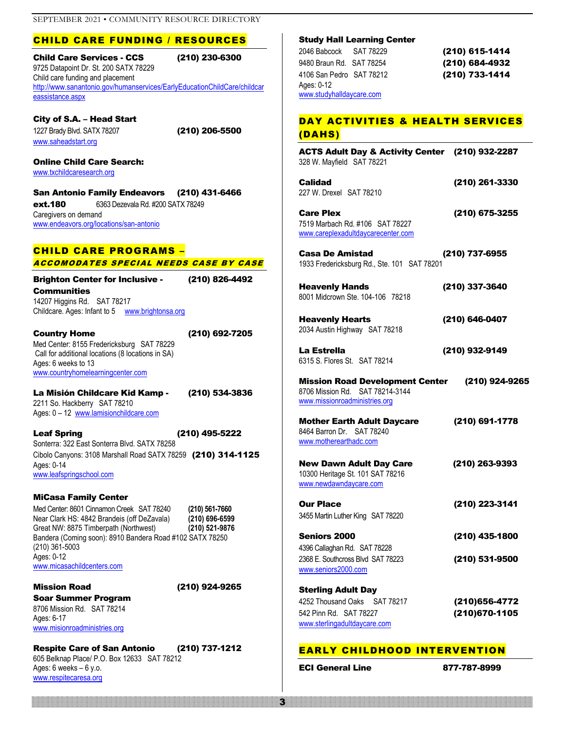#### CHILD CARE FUNDING / RESOURCES

Child Care Services - CCS (210) 230-6300 9725 Datapoint Dr. St. 200 SATX 78229 Child care funding and placement [http://www.sanantonio.gov/humanservices/EarlyEducationChildCare/childcar](http://www.sanantonio.gov/humanservices/EarlyEducationChildCare/childcareassistance.aspx) [eassistance.aspx](http://www.sanantonio.gov/humanservices/EarlyEducationChildCare/childcareassistance.aspx)

City of S.A. – Head Start 1227 Brady Blvd. SATX 78207 (210) 206-5500 [www.saheadstart.org](http://www.saheadstart.org/)

Online Child Care Search: [www.txchildcaresearch.org](http://www.txchildcaresearch.org/)

San Antonio Family Endeavors (210) 431-6466 **ext.180** 6363 Dezevala Rd. #200 SATX 78249 Caregivers on demand [www.endeavors.org/locations/san-antonio](http://www.endeavors.org/locations/san-antonio)

#### CHILD CARE PROGRAMS – ACCOMODATES SPECIAL NEEDS CASE BY CASE

Brighton Center for Inclusive - (210) 826-4492 **Communities** 

14207 Higgins Rd. SAT 78217 Childcare. Ages: Infant to 5 [www.brightonsa.org](http://www.brightonsa.org/)

Country Home (210) 692-7205 Med Center: 8155 Fredericksburg SAT 78229 Call for additional locations (8 locations in SA) Ages: 6 weeks to 13 [www.countryhomelearningcenter.com](http://www.countryhomelearningcenter.com/)

La Misión Childcare Kid Kamp - (210) 534-3836 2211 So. Hackberry SAT 78210 Ages: 0 - 12 [www.lamisionchildcare.com](http://www.lamisionchildcare.com/)

Leaf Spring (210) 495-5222 Sonterra: 322 East Sonterra Blvd. SATX 78258 Cibolo Canyons: 3108 Marshall Road SATX 78259 (210) 314-1125 Ages: 0-14 [www.leafspringschool.com](http://www.leafspringschool.com/)

#### MiCasa Family Center

Med Center: 8601 Cinnamon Creek SAT 78240 **(210) 561-7660** Near Clark HS: 4842 Brandeis (off DeZavala) **(210) 696-6599** Great NW: 8875 Timberpath (Northwest) **(210) 521-9876** Bandera (Coming soon): 8910 Bandera Road #102 SATX 78250 (210) 361-5003 Ages: 0-12 [www.micasachildcenters.com](http://www.micasachildcenters.com/)

Mission Road (210) 924-9265

Soar Summer Program 8706 Mission Rd. SAT 78214 Ages: 6-17 [www.misionroadministries.org](http://www.misionroadministries.org/)

Respite Care of San Antonio (210) 737-1212 605 Belknap Place/ P.O. Box 12633 SAT 78212 Ages:  $6$  weeks  $-6$  y.o. [www.respitecaresa.org](http://www.respitecaresa.org/)

#### Study Hall Learning Center

2046 Babcock SAT 78229 (210) 615-1414 9480 Braun Rd. SAT 78254 (210) 684-4932 4106 San Pedro SAT 78212 (210) 733-1414 Ages: 0-12 [www.studyhalldaycare.com](http://www.studyhalldaycare.com/)

#### DAY ACTIVITIES & HEALTH SERVICES (DAHS)

| ACTS Adult Day & Activity Center (210) 932-2287<br>328 W. Mayfield SAT 78221                                           |                                |
|------------------------------------------------------------------------------------------------------------------------|--------------------------------|
| Calidad<br>227 W. Drexel SAT 78210                                                                                     | (210) 261-3330                 |
| <b>Care Plex</b><br>7519 Marbach Rd. #106 SAT 78227<br>www.careplexadultdaycarecenter.com                              | (210) 675-3255                 |
| <b>Casa De Amistad</b><br>1933 Fredericksburg Rd., Ste. 101 SAT 78201                                                  | (210) 737-6955                 |
| <b>Heavenly Hands</b><br>8001 Midcrown Ste. 104-106 78218                                                              | (210) 337-3640                 |
| <b>Heavenly Hearts</b><br>2034 Austin Highway SAT 78218                                                                | (210) 646-0407                 |
| La Estrella<br>6315 S. Flores St. SAT 78214                                                                            | (210) 932-9149                 |
| <b>Mission Road Development Center</b><br>8706 Mission Rd. SAT 78214-3144<br>www.missionroadministries.org             | (210) 924-9265                 |
| <b>Mother Earth Adult Daycare</b><br>8464 Barron Dr. SAT 78240<br>www.motherearthadc.com                               | (210) 691-1778                 |
| <b>New Dawn Adult Day Care</b><br>10300 Heritage St. 101 SAT 78216<br>www.newdawndaycare.com                           | (210) 263-9393                 |
| Our Place<br>3455 Martin Luther King SAT 78220                                                                         | (210) 223-3141                 |
| <b>Seniors 2000</b>                                                                                                    | (210) 435-1800                 |
| 4396 Callaghan Rd. SAT 78228<br>2368 E. Southcross Blvd SAT 78223<br>www.seniors2000.com                               | (210) 531-9500                 |
| <b>Sterling Adult Day</b><br>4252 Thousand Oaks<br>SAT 78217<br>542 Pinn Rd. SAT 78227<br>www.sterlingadultdaycare.com | (210)656-4772<br>(210)670-1105 |

#### EARLY CHILDHOOD INTERVENTION

ECI General Line 877-787-8999

<u>3 and 2003 and 2003 and 2003 and 2003 and 2003 and 2003 and 2003 and 2003 and 2003 and 2003 and 2003 and 2003</u>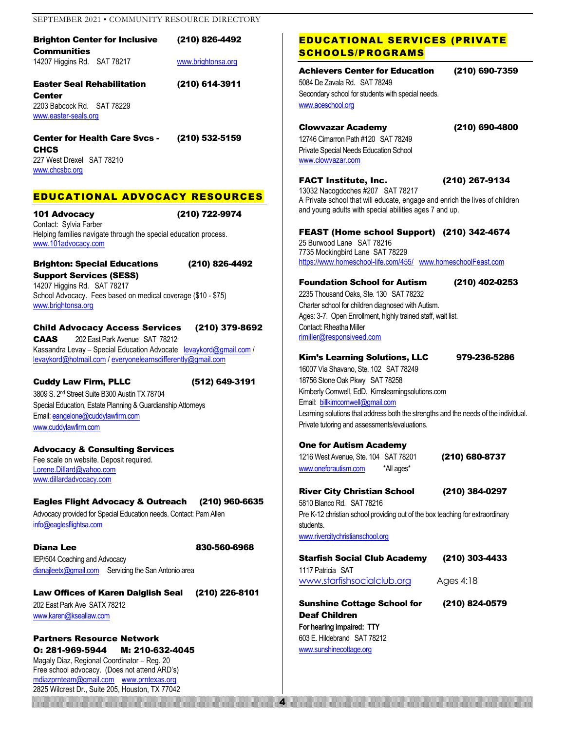| <b>Brighton Center for Inclusive</b> |  | (210) 826-4492     |  |
|--------------------------------------|--|--------------------|--|
| Communities                          |  |                    |  |
| 14207 Higgins Rd. SAT 78217          |  | www.brightonsa.org |  |

Easter Seal Rehabilitation (210) 614-3911

**Center** 2203 Babcock Rd. SAT 78229 [www.easter-seals.org](http://www.easter-seals.org/)

Center for Health Care Svcs - (210) 532-5159 **CHCS** 227 West Drexel SAT 78210 [www.chcsbc.org](http://www.chcsbc.org/)

#### EDUCATIONAL ADVOCACY RESOURCES

101 Advocacy (210) 722-9974 Contact: Sylvia Farber Helping families navigate through the special education process. [www.101advocacy.com](http://www.101advocacy.com/)

#### Brighton: Special Educations (210) 826-4492

Support Services (SESS) 14207 Higgins Rd. SAT 78217 School Advocacy. Fees based on medical coverage (\$10 - \$75) [www.brightonsa.org](http://www.brightonsa.org/)

#### Child Advocacy Access Services (210) 379-8692

CAAS 202 East Park Avenue SAT 78212 Kassandra Levay - Special Education Advocate [levaykord@gmail.com](mailto:levaykord@gmail.com) / [levaykord@hotmail.com](mailto:levaykord@hotmail.com) / [everyonelearnsdifferently@gmail.com](mailto:everyonelearnsdifferently@gmail.com)

#### Cuddy Law Firm, PLLC (512) 649-3191 3809 S. 2nd Street Suite B300 Austin TX 78704 Special Education, Estate Planning & Guardianship Attorneys Email[: eangelone@cuddylawfirm.com](mailto:eangelone@cuddylawfirm.com)

[www.cuddylawfirm.com](http://www.cuddylawfirm.com/)

Advocacy & Consulting Services Fee scale on website. Deposit required. [Lorene.Dillard@yahoo.com](mailto:Lorene.Dillard@yahoo.com) [www.dillardadvocacy.com](http://www.dillardadvocacy.com/)

#### Eagles Flight Advocacy & Outreach (210) 960-6635

Advocacy provided for Special Education needs. Contact: Pam Allen [info@eaglesflightsa.com](mailto:info@eaglesflightsa.com)

Diana Lee 830-560-6968 IEP/504 Coaching and Advocacy [dianajleetx@gmail.com](mailto:info@eaglesflightsa.com) Servicing the San Antonio area

Law Offices of Karen Dalglish Seal (210) 226-8101 202 East Park Ave SATX 78212 [www.karen@kseallaw.com](http://www.karen@kseallaw.com)

1999 - 1999 - 1999 - 1999 - 1999 - 1999 - 1999 - 1999 - 1999 - 1999 - 1999 - 1999 - 1999 - 1999 - 1999 - 1999 - 1999 - 1999 - 1999 - 1999 - 1999 - 1999 - 1999 - 1999 - 1999 - 1999 - 1999 - 1999 - Partners Resource Network O: 281-969-5944 M: 210-632-4045 Magaly Diaz, Regional Coordinator – Reg. 20 Free school advocacy. (Does not attend ARD's) [mdiazprnteam@gmail.com](mailto:mdiazprnteam@gmail.com) [www.prntexas.org](http://www.prntexas.org/) 2825 Wilcrest Dr., Suite 205, Houston, TX 77042

#### EDUCATIONAL SERVICES (PRIVATE SCHOOLS/PROGRAMS

#### Achievers Center for Education (210) 690-7359

5084 De Zavala Rd. SAT 78249 Secondary school for students with special needs. [www.aceschool.org](http://www.aceschool.org/)

Clowvazar Academy (210) 690-4800

12746 Cimarron Path #120 SAT 78249 Private Special Needs Education School [www.clowvazar.com](http://www.clowvazar.com/)

FACT Institute, Inc. (210) 267-9134

13032 Nacogdoches #207 SAT 78217 A Private school that will educate, engage and enrich the lives of children and young adults with special abilities ages 7 and up.

#### FEAST (Home school Support) (210) 342-4674

25 Burwood Lane SAT 78216 7735 Mockingbird Lane SAT 78229 <https://www.homeschool-life.com/455/>[www.homeschoolFeast.com](http://www.homeschoolfeast.com/)

#### Foundation School for Autism (210) 402-0253

2235 Thousand Oaks, Ste. 130 SAT 78232 Charter school for children diagnosed with Autism. Ages: 3-7. Open Enrollment, highly trained staff, wait list. Contact: Rheatha Miller [rimiller@responsiveed.com](mailto:rimiller@responsiveed.com)

#### Kim's Learning Solutions, LLC 979-236-5286

16007 Via Shavano, Ste. 102 SAT 78249 18756 Stone Oak Pkwy SAT 78258 Kimberly Cornwell, EdD. Kimslearningsolutions.com Email: [billkimcornwell@gmail.com](mailto:billkimcornwell@gmail.com) Learning solutions that address both the strengths and the needs of the individual. Private tutoring and assessments/evaluations.

#### One for Autism Academy

1216 West Avenue, Ste. 104 SAT 78201 (210) 680-8737 [www.oneforautism.com](http://www.oneforautism.com/) \*All ages\*

River City Christian School (210) 384-0297 5810 Blanco Rd. SAT 78216 Pre K-12 christian school providing out of the box teaching for extraordinary students. [www.rivercitychristianschool.org](http://www.rivercitychristianschool.org/)

Starfish Social Club Academy (210) 303-4433 1117 Patricia SAT [www.starfishsocialclub.org](http://www.starfishsocialclub.org/) Ages 4:18

Sunshine Cottage School for (210) 824-0579 Deaf Children **For hearing impaired: TTY** 603 E. Hildebrand SAT 78212 [www.sunshinecottage.org](http://www.sunshinecottage.org/)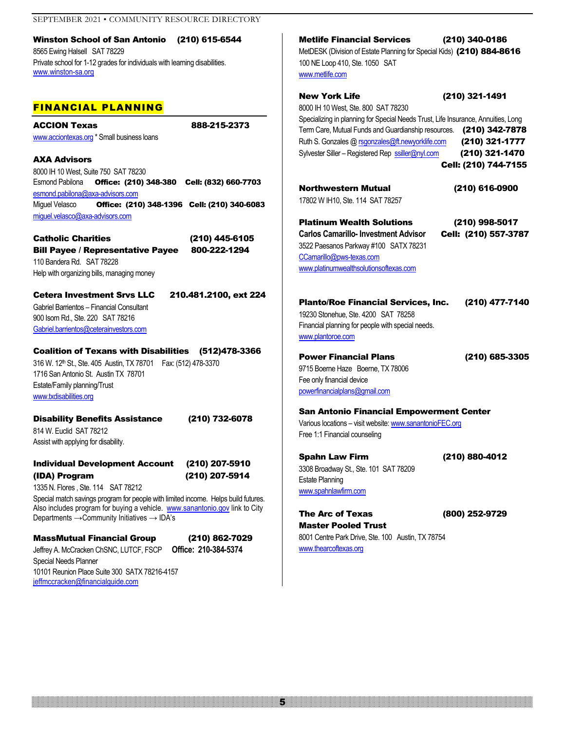Winston School of San Antonio (210) 615-6544 8565 Ewing Halsell SAT 78229 Private school for 1-12 grades for individuals with learning disabilities. [www.winston-sa.org](http://www.winston-sa.org/)

#### FINANCIAL PLANNING

ACCION Texas 888-215-2373 [www.acciontexas.org](http://www.acciontexas.org/) \* Small business loans

AXA Advisors 8000 IH 10 West, Suite 750 SAT 78230 Esmond Pabilona Office: (210) 348-380 Cell: (832) 660-7703 [esmond.pabilona@axa-advisors.com](mailto:esmond.pabilona@axa-advisors.com) Miguel Velasco Office: (210) 348-1396 Cell: (210) 340-6083 [miguel.velasco@axa-advisors.com](mailto:miguel.velasco@axa-advisors.com)

Catholic Charities (210) 445-6105 Bill Payee / Representative Payee 800-222-1294 110 Bandera Rd. SAT 78228 Help with organizing bills, managing money

#### Cetera Investment Srvs LLC 210.481.2100, ext 224

Gabriel Barrientos – Financial Consultant 900 Isom Rd., Ste. 220 SAT 78216 [Gabriel.barrientos@ceterainvestors.com](mailto:Gabriel.barrientos@ceterainvestors.com) 

#### Coalition of Texans with Disabilities (512)478-3366

316 W. 12th St., Ste. 405 Austin, TX 78701 Fax: (512) 478-3370 1716 San Antonio St. Austin TX 78701 Estate/Family planning/Trust [www.txdisabilities.org](http://www.txdisabilities.org/)

#### Disability Benefits Assistance (210) 732-6078

814 W. Euclid SAT 78212 Assist with applying for disability.

#### Individual Development Account (210) 207-5910 (IDA) Program (210) 207-5914

1335 N. Flores , Ste. 114 SAT 78212

Special match savings program for people with limited income. Helps build futures. Also includes program for buying a vehicle. [www.sanantonio.gov](http://www.sanantonio.gov/) link to City Departments → Community Initiatives → IDA's

#### MassMutual Financial Group (210) 862-7029

Jeffrey A. McCracken ChSNC, LUTCF, FSCP **Office: 210-384-5374** Special Needs Planner 10101 Reunion Place Suite 300 SATX 78216-4157 [jeffmccracken@financialguide.com](mailto:jeffmccracken@financialguide.com) 

Metlife Financial Services (210) 340-0186 MetDESK (Division of Estate Planning for Special Kids) (210) 884-8616 100 NE Loop 410, Ste. 1050 SAT [www.metlife.com](http://www.metlife.com/)

#### New York Life (210) 321-1491 8000 IH 10 West, Ste. 800 SAT 78230 Specializing in planning for Special Needs Trust, Life Insurance, Annuities, Long Term Care, Mutual Funds and Guardianship resources. (210) 342-7878 Ruth S. Gonzales [@ rsgonzales@ft.newyorklife.com](mailto:rsgonzales@ft.newyorklife.com) (210) 321-1777 Sylvester Siller – Registered Rep [ssiller@nyl.com](mailto:ssiller@nyl.com) (210) 321-1470 Cell: (210) 744-7155

Northwestern Mutual (210) 616-0900 17802 W IH10, Ste. 114 SAT 78257

Platinum Wealth Solutions (210) 998-5017

**Carlos Camarillo- Investment Advisor** Cell: (210) 557-3787 3522 Paesanos Parkway #100 SATX 78231 [CCamarillo@pws-texas.com](mailto:CCamarillo@pws-texas.com)  [www.platinumwealthsolutionsoftexas.com](http://www.platinumwealthsolutionsoftexas.com/)

Planto/Roe Financial Services, Inc. (210) 477-7140 19230 Stonehue, Ste. 4200 SAT 78258 Financial planning for people with special needs. [www.plantoroe.com](http://www.plantoroe.com/)

Power Financial Plans (210) 685-3305 9715 Boerne Haze Boerne, TX 78006 Fee only financial device [powerfinancialplans@gmail.com](mailto:powerfinancialplans@gmail.com)

#### San Antonio Financial Empowerment Center Various locations – visit website[: www.sanantonioFEC.org](http://www.sanantoniofec.org/)

Free 1:1 Financial counseling

Spahn Law Firm (210) 880-4012 3308 Broadway St., Ste. 101 SAT 78209 Estate Planning [www.spahnlawfirm.com](http://www.spahnlawfirm.com/)

```
The Arc of Texas (800) 252-9729
Master Pooled Trust
8001 Centre Park Drive, Ste. 100 Austin, TX 78754
www.thearcoftexas.org
```
5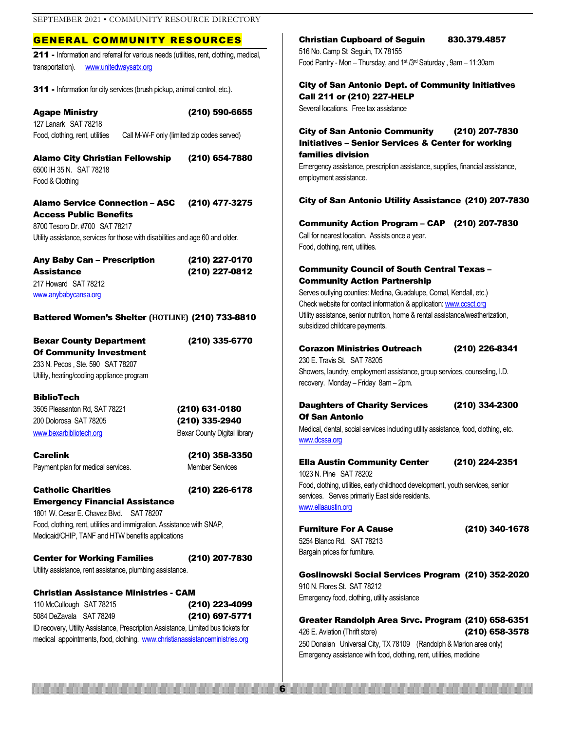#### GENERAL COMMUNITY RESOURCES

211 - Information and referral for various needs (utilities, rent, clothing, medical, transportation). [www.unitedwaysatx.org](http://www.unitedwaysatx.org/)

311 - Information for city services (brush pickup, animal control, etc.).

| <b>Agape Ministry</b>           | (210) 590-6655                             |
|---------------------------------|--------------------------------------------|
| 127 Lanark SAT 78218            |                                            |
| Food, clothing, rent, utilities | Call M-W-F only (limited zip codes served) |

#### Alamo City Christian Fellowship (210) 654-7880 6500 IH 35 N. SAT 78218

Food & Clothing

Alamo Service Connection – ASC (210) 477-3275

Access Public Benefits 8700 Tesoro Dr. #700 SAT 78217 Utility assistance, services for those with disabilities and age 60 and older.

| <b>Any Baby Can - Prescription</b> | (210) 227-0170 |
|------------------------------------|----------------|
| <b>Assistance</b>                  | (210) 227-0812 |
| 217 Howard SAT 78212               |                |
| www.anybabycansa.org               |                |

#### Battered Women's Shelter **(HOTLINE)** (210) 733-8810

Bexar County Department (210) 335-6770 Of Community Investment 233 N. Pecos , Ste. 590 SAT 78207 Utility, heating/cooling appliance program

BiblioTech

3505 Pleasanton Rd, SAT 78221 (210) 631-0180 200 Dolorosa SAT 78205 (210) 335-2940 [www.bexarbibliotech.org](http://www.bexarbibliotech.org/) Bexar County Digital library

Carelink (210) 358-3350 Payment plan for medical services. Member Services

#### Catholic Charities (210) 226-6178

Emergency Financial Assistance 1801 W. Cesar E. Chavez Blvd. SAT 78207 Food, clothing, rent, utilities and immigration. Assistance with SNAP, Medicaid/CHIP, TANF and HTW benefits applications

Center for Working Families (210) 207-7830 Utility assistance, rent assistance, plumbing assistance.

Christian Assistance Ministries - CAM 110 McCullough SAT 78215 (210) 223-4099 5084 DeZavala SAT 78249 (210) 697-5771

ID recovery, Utility Assistance, Prescription Assistance, Limited bus tickets for medical appointments, food, clothing. [www.christianassistanceministries.org](http://www.christianassistanceministries.org/)

Christian Cupboard of Seguin 830.379.4857 516 No. Camp St Seguin, TX 78155 Food Pantry - Mon – Thursday, and 1st /3rd Saturday , 9am – 11:30am

#### City of San Antonio Dept. of Community Initiatives Call 211 or (210) 227-HELP

Several locations. Free tax assistance

## City of San Antonio Community (210) 207-7830

Initiatives – Senior Services & Center for working families division Emergency assistance, prescription assistance, supplies, financial assistance,

employment assistance.

#### City of San Antonio Utility Assistance (210) 207-7830

Community Action Program – CAP (210) 207-7830 Call for nearest location. Assists once a year. Food, clothing, rent, utilities.

#### Community Council of South Central Texas – Community Action Partnership

Serves outlying counties: Medina, Guadalupe, Comal, Kendall, etc.) Check website for contact information & application[: www.ccsct.org](http://www.ccsct.org/) Utility assistance, senior nutrition, home & rental assistance/weatherization, subsidized childcare payments.

#### Corazon Ministries Outreach (210) 226-8341

230 E. Travis St. SAT 78205 Showers, laundry, employment assistance, group services, counseling, I.D. recovery. Monday – Friday 8am – 2pm.

#### Daughters of Charity Services (210) 334-2300 Of San Antonio

Medical, dental, social services including utility assistance, food, clothing, etc. [www.dcssa.org](http://www.dcssa.org/)

#### Ella Austin Community Center (210) 224-2351

1023 N. Pine SAT 78202 Food, clothing, utilities, early childhood development, youth services, senior services. Serves primarily East side residents. [www.ellaaustin.org](http://www.ellaaustin.org/)

Furniture For A Cause (210) 340-1678 5254 Blanco Rd. SAT 78213 Bargain prices for furniture.

6

Goslinowski Social Services Program (210) 352-2020

910 N. Flores St. SAT 78212 Emergency food, clothing, utility assistance

#### Greater Randolph Area Srvc. Program (210) 658-6351 426 E. Aviation (Thrift store) (210) 658-3578 250 Donalan Universal City, TX 78109 (Randolph & Marion area only) Emergency assistance with food, clothing, rent, utilities, medicine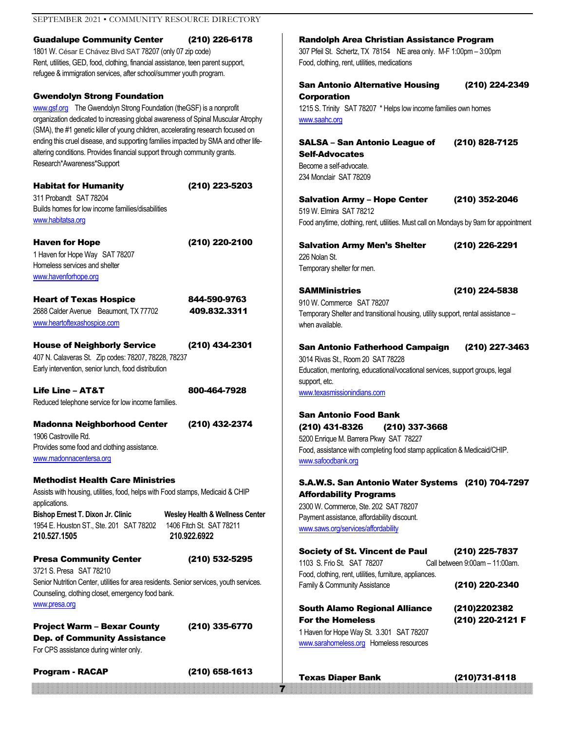| SEPTEMBER 2021 • COMMUNITY RESOURCE DIRECTORY                                                                                                                                                                                                                             |                                                                                        |                                                                                                                                                                                                                  |                                                                    |
|---------------------------------------------------------------------------------------------------------------------------------------------------------------------------------------------------------------------------------------------------------------------------|----------------------------------------------------------------------------------------|------------------------------------------------------------------------------------------------------------------------------------------------------------------------------------------------------------------|--------------------------------------------------------------------|
| <b>Guadalupe Community Center</b><br>(210) 226-6178<br>1801 W. César E Chávez Blvd SAT 78207 (only 07 zip code)<br>Rent, utilities, GED, food, clothing, financial assistance, teen parent support,<br>refugee & immigration services, after school/summer youth program. |                                                                                        | Randolph Area Christian Assistance Program<br>307 Pfeil St. Schertz, TX 78154 NE area only. M-F 1:00pm - 3:00pm<br>Food, clothing, rent, utilities, medications                                                  |                                                                    |
| <b>Gwendolyn Strong Foundation</b>                                                                                                                                                                                                                                        |                                                                                        | <b>San Antonio Alternative Housing</b>                                                                                                                                                                           | (210) 224-2349                                                     |
| www.gsf.org The Gwendolyn Strong Foundation (theGSF) is a nonprofit<br>organization dedicated to increasing global awareness of Spinal Muscular Atrophy<br>(SMA), the #1 genetic killer of young children, accelerating research focused on                               |                                                                                        | <b>Corporation</b><br>1215 S. Trinity SAT 78207 * Helps low income families own homes<br>www.saahc.org                                                                                                           |                                                                    |
| ending this cruel disease, and supporting families impacted by SMA and other life-<br>altering conditions. Provides financial support through community grants.<br>Research*Awareness*Support                                                                             |                                                                                        | <b>SALSA - San Antonio League of</b><br><b>Self-Advocates</b><br>Become a self-advocate.                                                                                                                         | (210) 828-7125                                                     |
| <b>Habitat for Humanity</b>                                                                                                                                                                                                                                               | (210) 223-5203                                                                         | 234 Monclair SAT 78209                                                                                                                                                                                           |                                                                    |
| 311 Probandt SAT 78204<br>Builds homes for low income families/disabilities<br>www.habitatsa.org                                                                                                                                                                          |                                                                                        | <b>Salvation Army - Hope Center</b><br>519 W. Elmira SAT 78212<br>Food anytime, clothing, rent, utilities. Must call on Mondays by 9am for appointment                                                           | (210) 352-2046                                                     |
| <b>Haven for Hope</b><br>1 Haven for Hope Way SAT 78207<br>Homeless services and shelter                                                                                                                                                                                  | (210) 220-2100                                                                         | <b>Salvation Army Men's Shelter</b><br>226 Nolan St.<br>Temporary shelter for men.                                                                                                                               | (210) 226-2291                                                     |
| www.havenforhope.org<br><b>Heart of Texas Hospice</b><br>2688 Calder Avenue Beaumont, TX 77702<br>www.heartoftexashospice.com                                                                                                                                             | 844-590-9763<br>409.832.3311                                                           | <b>SAMMinistries</b><br>910 W. Commerce SAT 78207<br>Temporary Shelter and transitional housing, utility support, rental assistance -<br>when available.                                                         | (210) 224-5838                                                     |
| <b>House of Neighborly Service</b><br>407 N. Calaveras St. Zip codes: 78207, 78228, 78237<br>Early intervention, senior lunch, food distribution                                                                                                                          | (210) 434-2301                                                                         | San Antonio Fatherhood Campaign<br>3014 Rivas St., Room 20 SAT 78228<br>Education, mentoring, educational/vocational services, support groups, legal                                                             | (210) 227-3463                                                     |
| <b>Life Line - AT&amp;T</b><br>Reduced telephone service for low income families.                                                                                                                                                                                         | 800-464-7928                                                                           | support, etc.<br>www.texasmissionindians.com                                                                                                                                                                     |                                                                    |
| <b>Madonna Neighborhood Center</b><br>1906 Castroville Rd.<br>Provides some food and clothing assistance.<br>www.madonnacentersa.org                                                                                                                                      | (210) 432-2374                                                                         | <b>San Antonio Food Bank</b><br>(210) 431-8326 (210) 337-3668<br>5200 Enrique M. Barrera Pkwy SAT 78227<br>Food, assistance with completing food stamp application & Medicaid/CHIP.<br>www.safoodbank.org        |                                                                    |
| <b>Methodist Health Care Ministries</b><br>Assists with housing, utilities, food, helps with Food stamps, Medicaid & CHIP<br>applications.<br>Bishop Ernest T. Dixon Jr. Clinic<br>1954 E. Houston ST., Ste. 201 SAT 78202<br>210.527.1505                                | <b>Wesley Health &amp; Wellness Center</b><br>1406 Fitch St. SAT 78211<br>210.922.6922 | S.A.W.S. San Antonio Water Systems (210) 704-7297<br><b>Affordability Programs</b><br>2300 W. Commerce, Ste. 202 SAT 78207<br>Payment assistance, affordability discount.<br>www.saws.org/services/affordability |                                                                    |
| <b>Presa Community Center</b><br>3721 S. Presa SAT 78210<br>Senior Nutrition Center, utilities for area residents. Senior services, youth services.<br>Counseling, clothing closet, emergency food bank.                                                                  | (210) 532-5295                                                                         | <b>Society of St. Vincent de Paul</b><br>1103 S. Frio St. SAT 78207<br>Food, clothing, rent, utilities, furniture, appliances.<br>Family & Community Assistance                                                  | (210) 225-7837<br>Call between 9:00am - 11:00am.<br>(210) 220-2340 |
| www.presa.org<br><b>Project Warm - Bexar County</b><br><b>Dep. of Community Assistance</b><br>For CPS assistance during winter only.                                                                                                                                      | (210) 335-6770                                                                         | <b>South Alamo Regional Alliance</b><br><b>For the Homeless</b><br>1 Haven for Hope Way St. 3.301 SAT 78207<br>www.sarahomeless.org Homeless resources                                                           | (210)2202382<br>(210) 220-2121 F                                   |
| <b>Program - RACAP</b>                                                                                                                                                                                                                                                    | (210) 658-1613                                                                         | <b>Texas Diaper Bank</b>                                                                                                                                                                                         | (210) 731-8118                                                     |
|                                                                                                                                                                                                                                                                           |                                                                                        | b d                                                                                                                                                                                                              |                                                                    |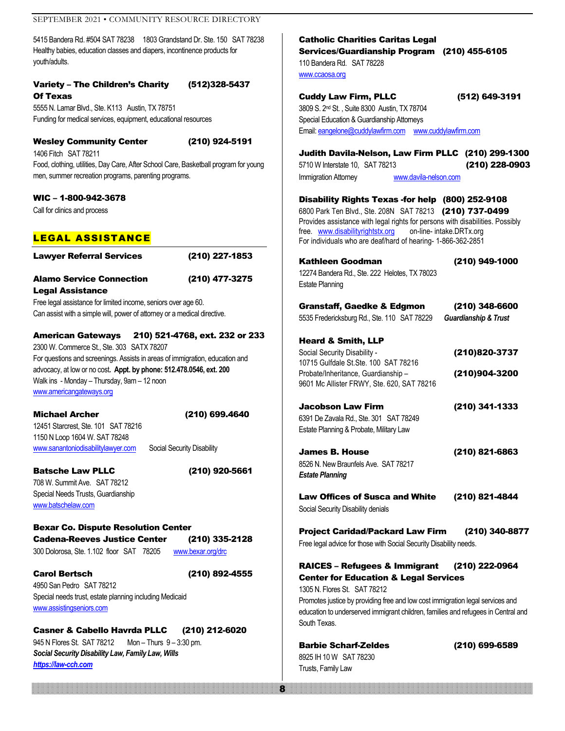5415 Bandera Rd. #504 SAT 78238 1803 Grandstand Dr. Ste. 150 SAT 78238 Healthy babies, education classes and diapers, incontinence products for youth/adults.

#### Variety – The Children's Charity (512)328-5437 Of Texas

5555 N. Lamar Blvd., Ste. K113 Austin, TX 78751 Funding for medical services, equipment, educational resources

#### Wesley Community Center (210) 924-5191

1406 Fitch SAT 78211 Food, clothing, utilities, Day Care, After School Care, Basketball program for young men, summer recreation programs, parenting programs.

#### WIC – 1-800-942-3678

Call for clinics and process

#### LEGAL ASSISTANCE

Lawyer Referral Services (210) 227-1853

Alamo Service Connection (210) 477-3275 Legal Assistance

Free legal assistance for limited income, seniors over age 60. Can assist with a simple will, power of attorney or a medical directive.

American Gateways 210) 521-4768, ext. 232 or 233 2300 W. Commerce St., Ste. 303 SATX 78207 For questions and screenings. Assists in areas of immigration, education and

advocacy, at low or no cost**. Appt. by phone: 512.478.0546, ext. 200** Walk ins - Monday – Thursday, 9am – 12 noon [www.americangateways.org](http://www.americangateways.org/)

Michael Archer (210) 699.4640 12451 Starcrest, Ste. 101 SAT 78216 1150 N Loop 1604 W. SAT 78248

[www.sanantoniodisabilitylawyer.com](http://www.sanantoniodisabilitylawyer.com/) Social Security Disability

Batsche Law PLLC (210) 920-5661

708 W. Summit Ave. SAT 78212 Special Needs Trusts, Guardianship [www.batschelaw.com](http://www.batschelaw.com/)

Bexar Co. Dispute Resolution Center Cadena-Reeves Justice Center (210) 335-2128 300 Dolorosa, Ste. 1.102 floor SAT 78205 [www.bexar.org/drc](http://www.bexar.org/drc)

Carol Bertsch (210) 892-4555

4950 San Pedro SAT 78212 Special needs trust, estate planning including Medicaid [www.assistingseniors.com](http://www.assistingseniors.com/)

Casner & Cabello Havrda PLLC (210) 212-6020 945 N Flores St. SAT 78212 Mon – Thurs 9 – 3:30 pm. *Social Security Disability Law, Family Law, Wills [https://law-cch.com](https://law-cch.com/)*

<u>8 and 2008 and 2008 and 2008 and 2008 and 2008 and 2008 and 2008 and 2008 and 2008 and 2008 and 2008 and 2008 </u>

#### Catholic Charities Caritas Legal Services/Guardianship Program (210) 455-6105 110 Bandera Rd. SAT 78228

[www.ccaosa.org](http://www.ccaosa.org/)

Cuddy Law Firm, PLLC (512) 649-3191

3809 S. 2nd St. , Suite 8300 Austin, TX 78704 Special Education & Guardianship Attorneys Email[: eangelone@cuddylawfirm.com](mailto:eangelone@cuddylawfirm.com) [www.cuddylawfirm.com](http://www.cuddylawfirm.com/)

Judith Davila-Nelson, Law Firm PLLC (210) 299-1300 5710 W Interstate 10, SAT 78213 (210) 228-0903 Immigration Attorney **[www.davila-nelson.com](http://www.davila-nelson.com/)** 

Disability Rights Texas -for help (800) 252-9108 6800 Park Ten Blvd., Ste. 208N SAT 78213 (210) 737-0499 Provides assistance with legal rights for persons with disabilities. Possibly free. [www.disabilityrightstx.org](http://www.disabilityrightstx.org/) on-line- intake.DRTx.org

For individuals who are deaf/hard of hearing- 1-866-362-2851

| Kathleen Goodman                                                        | (210) 949-1000                  |
|-------------------------------------------------------------------------|---------------------------------|
| 12274 Bandera Rd., Ste. 222 Helotes, TX 78023<br><b>Estate Planning</b> |                                 |
| Granstaff, Gaedke & Edgmon                                              | (210) 348-6600                  |
| 5535 Fredericksburg Rd., Ste. 110 SAT 78229                             | <b>Guardianship &amp; Trust</b> |
| <b>Heard &amp; Smith, LLP</b>                                           |                                 |
| Social Security Disability -                                            | (210)820-3737                   |
| 10715 Gulfdale St. Ste. 100 SAT 78216                                   |                                 |
| Probate/Inheritance, Guardianship-                                      | (210)904-3200                   |

Jacobson Law Firm (210) 341-1333 6391 De Zavala Rd., Ste. 301 SAT 78249 Estate Planning & Probate, Military Law

9601 Mc Allister FRWY, Ste. 620, SAT 78216

James B. House (210) 821-6863 8526 N. New Braunfels Ave. SAT 78217 *Estate Planning*

Law Offices of Susca and White (210) 821-4844 Social Security Disability denials

Project Caridad/Packard Law Firm (210) 340-8877 Free legal advice for those with Social Security Disability needs.

#### RAICES – Refugees & Immigrant (210) 222-0964 Center for Education & Legal Services

1305 N. Flores St. SAT 78212 Promotes justice by providing free and low cost immigration legal services and education to underserved immigrant children, families and refugees in Central and South Texas.

Barbie Scharf-Zeldes (210) 699-6589 8925 IH 10 W SAT 78230 Trusts, Family Law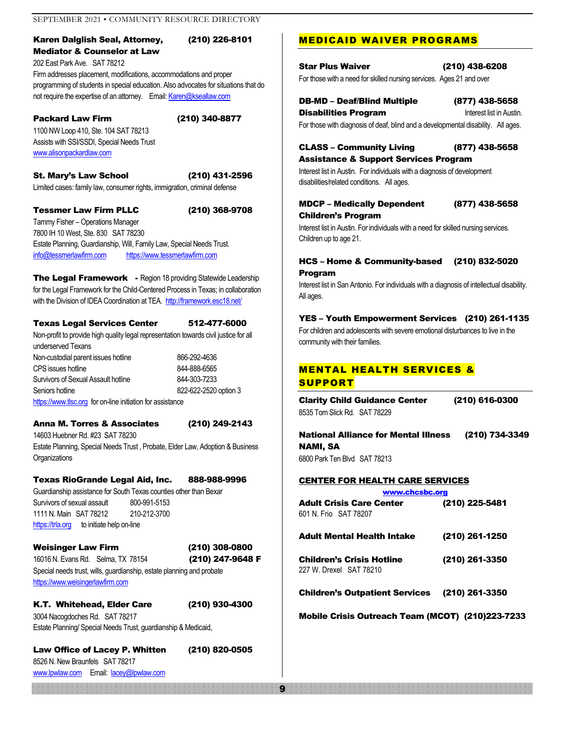#### Karen Dalglish Seal, Attorney, (210) 226-8101 Mediator & Counselor at Law

202 East Park Ave. SAT 78212 Firm addresses placement, modifications, accommodations and proper programming of students in special education. Also advocates for situations that do not require the expertise of an attorney. Email[: Karen@kseallaw.com](mailto:Karen@kseallaw.com)

#### Packard Law Firm (210) 340-8877

1100 NW Loop 410, Ste. 104 SAT 78213 Assists with SSI/SSDI, Special Needs Trust [www.alisonpackardlaw.com](http://www.alisonpackardlaw.com/)

St. Mary's Law School (210) 431-2596 Limited cases: family law, consumer rights, immigration, criminal defense

#### Tessmer Law Firm PLLC (210) 368-9708

Tammy Fisher – Operations Manager 7800 IH 10 West, Ste. 830 SAT 78230 Estate Planning, Guardianship, Will, Family Law, Special Needs Trust. [info@tessmerlawfirm.com](mailto:info@tessmerlawfirm.com) [https://www.tessmerlawfirm.com](https://www.tessmerlawfirm.com/)

The Legal Framework - Region 18 providing Statewide Leadership for the Legal Framework for the Child-Centered Process in Texas; in collaboration with the Division of IDEA Coordination at TEA.<http://framework.esc18.net/>

#### Texas Legal Services Center 512-477-6000

Non-profit to provide high quality legal representation towards civil justice for all underserved Texans

Non-custodial parent issues hotline 866-292-4636 CPS issues hotline 844-888-6565 Survivors of Sexual Assault hotline 844-303-7233 Seniors hotline 822-622-2520 option 3 [https://www.tlsc.org](https://www.tlsc.org/) for on-line initiation for assistance

Anna M. Torres & Associates (210) 249-2143

14603 Huebner Rd. #23 SAT 78230 Estate Planning, Special Needs Trust , Probate, Elder Law, Adoption & Business **Organizations** 

#### Texas RioGrande Legal Aid, Inc. 888-988-9996

Guardianship assistance for South Texas counties other than Bexar Survivors of sexual assault 800-991-5153 1111 N. Main SAT 78212 210-212-3700 [https://trla.org](https://trla.org/) to initiate help on-line

## Weisinger Law Firm (210) 308-0800 16016 N. Evans Rd. Selma, TX 78154 (210) 247-9648 F

Special needs trust, wills, guardianship, estate planning and probate https:[//www.weisingerlawfirm.com](http://www.weisingerlawfirm.com/)

K.T. Whitehead, Elder Care (210) 930-4300 3004 Nacogdoches Rd. SAT 78217 Estate Planning/ Special Needs Trust, guardianship & Medicaid,

Law Office of Lacey P. Whitten (210) 820-0505

8526 N. New Braunfels SAT 78217 [www.lpwlaw.com](http://www.lpwlaw.com/) Email: [lacey@lpwlaw.com](mailto:lacey@lpwlaw.com)

#### MEDICAID WAIVER PROGRAMS

Star Plus Waiver (210) 438-6208 For those with a need for skilled nursing services. Ages 21 and over

DB-MD – Deaf/Blind Multiple (877) 438-5658 **Disabilities Program Interest list in Austin.** For those with diagnosis of deaf, blind and a developmental disability. All ages.

CLASS – Community Living (877) 438-5658

#### Assistance & Support Services Program

Interest list in Austin. For individuals with a diagnosis of development disabilities/related conditions. All ages.

#### MDCP – Medically Dependent (877) 438-5658 Children's Program

Interest list in Austin. For individuals with a need for skilled nursing services. Children up to age 21.

#### HCS – Home & Community-based (210) 832-5020 Program

Interest list in San Antonio. For individuals with a diagnosis of intellectual disability. All ages.

#### YES – Youth Empowerment Services (210) 261-1135

For children and adolescents with severe emotional disturbances to live in the community with their families.

#### MENTAL HEALTH SERVICES & **SUPPORT**

Clarity Child Guidance Center (210) 616-0300 8535 Tom Slick Rd. SAT 78229

National Alliance for Mental Illness (210) 734-3349 NAMI, SA 6800 Park Ten Blvd SAT 78213

#### CENTER FOR HEALTH CARE SERVICES

| www.chcsbc.org                                              |                |  |
|-------------------------------------------------------------|----------------|--|
| <b>Adult Crisis Care Center</b><br>601 N. Frio SAT 78207    | (210) 225-5481 |  |
| <b>Adult Mental Health Intake</b>                           | (210) 261-1250 |  |
| <b>Children's Crisis Hotline</b><br>227 W. Drexel SAT 78210 | (210) 261-3350 |  |
| <b>Children's Outpatient Services</b>                       | (210) 261-3350 |  |

Mobile Crisis Outreach Team (MCOT) (210)223-7233

1990 - Participal de la construction de la construction de la construction de la construction de la construction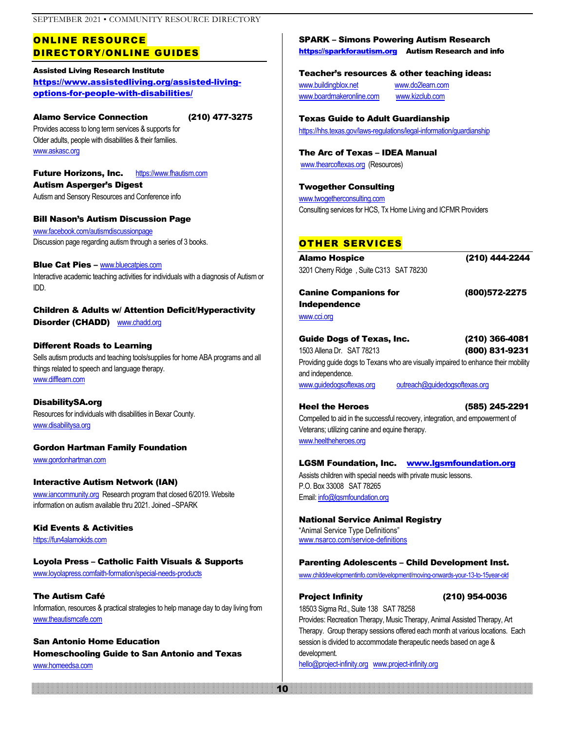#### ONLINE RESOURCE DIRECTORY/ONLINE GUIDES

#### Assisted Living Research Institute [https://www.assistedliving.org/assisted-living](https://www.assistedliving.org/assisted-living-options-for-people-with-disabilities/)[options-for-people-with-disabilities/](https://www.assistedliving.org/assisted-living-options-for-people-with-disabilities/)

#### Alamo Service Connection (210) 477-3275

Provides access to long term services & supports for Older adults, people with disabilities & their families. [www.askasc.org](http://www.askasc.org/)

Future Horizons, Inc. [https://www.fhautism.com](https://www.fhautism.com/) Autism Asperger's Digest Autism and Sensory Resources and Conference info

Bill Nason's Autism Discussion Page [www.facebook.com/autismdiscussionpage](http://www.facebook.com/autismdiscussionpage) Discussion page regarding autism through a series of 3 books.

**Blue Cat Pies – [www.bluecatpies.com](http://www.bluecatpies.com/)** Interactive academic teaching activities for individuals with a diagnosis of Autism or IDD.

Children & Adults w/ Attention Deficit/Hyperactivity Disorder (CHADD) [www.chadd.org](http://www.chadd.org/)

#### Different Roads to Learning

Sells autism products and teaching tools/supplies for home ABA programs and all things related to speech and language therapy. [www.difflearn.com](http://www.difflearn.com/)

DisabilitySA.org Resources for individuals with disabilities in Bexar County. [www.disabilitysa.org](http://www.disabilitysa.org/)

Gordon Hartman Family Foundation [www.gordonhartman.com](http://www.gordonhartman.co/)

Interactive Autism Network (IAN) [www.iancommunity.org](http://www.iancommunity.org/) Research program that closed 6/2019. Website information on autism available thru 2021. Joined –SPARK

Kid Events & Activities

[https://fun4alamokids.com](https://fun4alamokids.com/)

#### Loyola Press – Catholic Faith Visuals & Supports

www.loyolapress.comfaith-formation/special-needs-products

The Autism Café Information, resources & practical strategies to help manage day to day living from [www.theautismcafe.com](http://www.theautismcafe.com/)

San Antonio Home Education Homeschooling Guide to San Antonio and Texas [www.homeedsa.com](http://www.homeedsa.com/)

#### SPARK – Simons Powering Autism Research

[https://sparkforautism.org](https://sparkforautism.org/) Autism Research and info

#### Teacher's resources & other teaching ideas:

[www.buildingblox.net](http://www.buildingblox.net/) [www.do2learn.com](http://www.do2learn.com/) [www.boardmakeronline.com](http://www.boardmakeronline.com/) [www.kizclub.com](http://www.kizclub.com/)

Texas Guide to Adult Guardianship

<https://hhs.texas.gov/laws-regulations/legal-information/guardianship>

The Arc of Texas – IDEA Manual [www.thearcoftexas.org](http://www.thearcoftexas.org/) (Resources)

#### Twogether Consulting

[www.twogetherconsulting.com](http://www.twogetherconsulting.com/) Consulting services for HCS, Tx Home Living and ICFMR Providers

#### OTHER SERVICES

| Alamo Hospice                           | (210) 444-2244 |
|-----------------------------------------|----------------|
| 3201 Cherry Ridge, Suite C313 SAT 78230 |                |

Canine Companions for (800)572-2275 Independence [www.cci.org](http://www.cci.org/) 

| Guide Dogs of Texas, Inc.                                                                               |                               | (210) 366-4081 |
|---------------------------------------------------------------------------------------------------------|-------------------------------|----------------|
| 1503 Allena Dr. SAT 78213                                                                               |                               | (800) 831-9231 |
| Providing guide dogs to Texans who are visually impaired to enhance their mobility<br>and independence. |                               |                |
| www.quidedogsoftexas.org                                                                                | outreach@quidedogsoftexas.org |                |
|                                                                                                         |                               |                |

Heel the Heroes (585) 245-2291 Compelled to aid in the successful recovery, integration, and empowerment of Veterans; utilizing canine and equine therapy. [www.heeltheheroes.org](http://www.heeltheheroes.org/) 

#### LGSM Foundation, Inc. [www.lgsmfoundation.org](http://www.lgsmfoundation.org/)

Assists children with special needs with private music lessons. P.O. Box 33008 SAT 78265 Email[: info@lgsmfoundation.org](mailto:info@lgsmfoundation.org)

National Service Animal Registry "Animal Service Type Definitions" [www.nsarco.com/service-definitions](http://www.nsarco.com/service-definitions)

#### Parenting Adolescents – Child Development Inst.

[www.childdevelopmentinfo.com/development/moving-onwards-your-13-to-15year-old](http://www.childdevelopmentinfo.com/development/moving-onwards-your-13-to-15year-old)

10

#### Project Infinity (210) 954-0036

18503 Sigma Rd., Suite 138 SAT 78258 Provides: Recreation Therapy, Music Therapy, Animal Assisted Therapy, Art Therapy. Group therapy sessions offered each month at various locations. Each session is divided to accommodate therapeutic needs based on age & development. [hello@project-infinity.org](mailto:hello@project-infinity.org) [www.project-infinity.org](http://www.project-infinity.org/)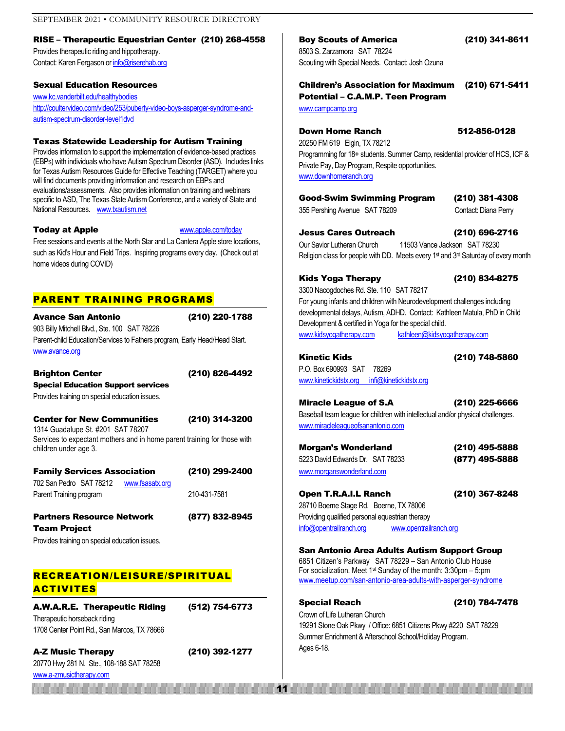#### RISE – Therapeutic Equestrian Center (210) 268-4558

Provides therapeutic riding and hippotherapy. Contact: Karen Fergason o[r info@riserehab.org](mailto:info@riserehab.org)

#### Sexual Education Resources

[www.kc.vanderbilt.edu/healthybodies](http://www.kc.vanderbilt.edu/healthybodies) [http://coultervideo.com/video/253/puberty-video-boys-asperger-syndrome-and](http://coultervideo.com/video/253/puberty-video-boys-asperger-syndrome-and-autism-spectrum-disorder-level1dvd)[autism-spectrum-disorder-level1dvd](http://coultervideo.com/video/253/puberty-video-boys-asperger-syndrome-and-autism-spectrum-disorder-level1dvd)

#### Texas Statewide Leadership for Autism Training

Provides information to support the implementation of evidence-based practices (EBPs) with individuals who have Autism Spectrum Disorder (ASD). Includes links for Texas Autism Resources Guide for Effective Teaching (TARGET) where you will find documents providing information and research on EBPs and evaluations/assessments. Also provides information on training and webinars specific to ASD, The Texas State Autism Conference, and a variety of State and National Resources. [www.txautism.net](http://www.txautism.net/)

Today at Apple [www.apple.com/today](http://www.apple.com/today)

Free sessions and events at the North Star and La Cantera Apple store locations, such as Kid's Hour and Field Trips. Inspiring programs every day. (Check out at home videos during COVID)

#### PARENT TRAINING PROGRAMS

Avance San Antonio (210) 220-1788 903 Billy Mitchell Blvd., Ste. 100 SAT 78226 Parent-child Education/Services to Fathers program, Early Head/Head Start. [www.avance.org](http://www.avance.org/)

#### Brighton Center (210) 826-4492

Special Education Support services Provides training on special education issues.

#### Center for New Communities (210) 314-3200

1314 Guadalupe St. #201 SAT 78207 Services to expectant mothers and in home parent training for those with children under age 3.

| <b>Family Services Association</b> |                 | (210) 299-2400 |
|------------------------------------|-----------------|----------------|
| 702 San Pedro SAT 78212            | www.fsasatx.org |                |
| Parent Training program            |                 | 210-431-7581   |
|                                    |                 |                |

Partners Resource Network (877) 832-8945 Team Project

Provides training on special education issues.

#### RECREATION/LEISURE/SPIRITUAL ACTIVITES

A.W.A.R.E. Therapeutic Riding (512) 754-6773 Therapeutic horseback riding 1708 Center Point Rd., San Marcos, TX 78666

A-Z Music Therapy (210) 392-1277 20770 Hwy 281 N. Ste., 108-188 SAT 78258

[www.a-zmusictherapy.com](http://www.a-zmusictherapy.com/)

#### Boy Scouts of America (210) 341-8611

8503 S. Zarzamora SAT 78224 Scouting with Special Needs. Contact: Josh Ozuna

#### Children's Association for Maximum (210) 671-5411 Potential – C.A.M.P. Teen Program

[www.campcamp.org](http://www.campcamp.org/)

#### **Down Home Ranch 612-856-0128**

20250 FM 619 Elgin, TX 78212 Programming for 18+ students. Summer Camp, residential provider of HCS, ICF & Private Pay, Day Program, Respite opportunities. [www.downhomeranch.org](http://www.downhomeranch.org/)

| Good-Swim Swimming Program |  |
|----------------------------|--|
|----------------------------|--|

355 Pershing Avenue SAT 78209 Contact: Diana Perry

(210) 381-4308

Jesus Cares Outreach (210) 696-2716 Our Savior Lutheran Church 11503 Vance Jackson SAT 78230 Religion class for people with DD. Meets every 1<sup>st</sup> and 3<sup>rd</sup> Saturday of every month

#### Kids Yoga Therapy (210) 834-8275

3300 Nacogdoches Rd. Ste. 110 SAT 78217

For young infants and children with Neurodevelopment challenges including developmental delays, Autism, ADHD. Contact: Kathleen Matula, PhD in Child Development & certified in Yoga for the special child. [www.kidsyogatherapy.com](http://www.kidsyogatherapy.com/) [kathleen@kidsyogatherapy.com](mailto:kathleen@kidsyogatherapy.com)

Kinetic Kids (210) 748-5860

P.O. Box 690993 SAT 78269 [www.kinetickidstx.org](http://www.kinetickidstx.org/) infi@kinetickidstx.org

#### Miracle League of S.A (210) 225-6666

11

Baseball team league for children with intellectual and/or physical challenges. [www.miracleleagueofsanantonio.com](http://www.miracleleagueofsanantonio.com/)

| Morgan's Wonderland              | (210) 495-5888 |
|----------------------------------|----------------|
| 5223 David Edwards Dr. SAT 78233 | (877) 495-5888 |
| www.morganswonderland.com        |                |

Open T.R.A.I.L Ranch (210) 367-8248 28710 Boerne Stage Rd. Boerne, TX 78006 Providing qualified personal equestrian therapy info[@opentrailranch.or](mailto:opentrailranch@gmail.com)g [www.opentrailranch.org](http://www.opentrailranch.org/)

#### San Antonio Area Adults Autism Support Group

6851 Citizen's Parkway SAT 78229 – San Antonio Club House For socialization. Meet  $1<sup>st</sup>$  Sunday of the month:  $3:30$ pm –  $5:pm$ [www.meetup.com/san-antonio-area-adults-with-asperger-syndrome](http://www.meetup.com/san-antonio-area-adults-with-asperger-syndrome)

Special Reach (210) 784-7478 Crown of Life Lutheran Church 19291 Stone Oak Pkwy / Office: 6851 Citizens Pkwy #220 SAT 78229 Summer Enrichment & Afterschool School/Holiday Program. Ages 6-18.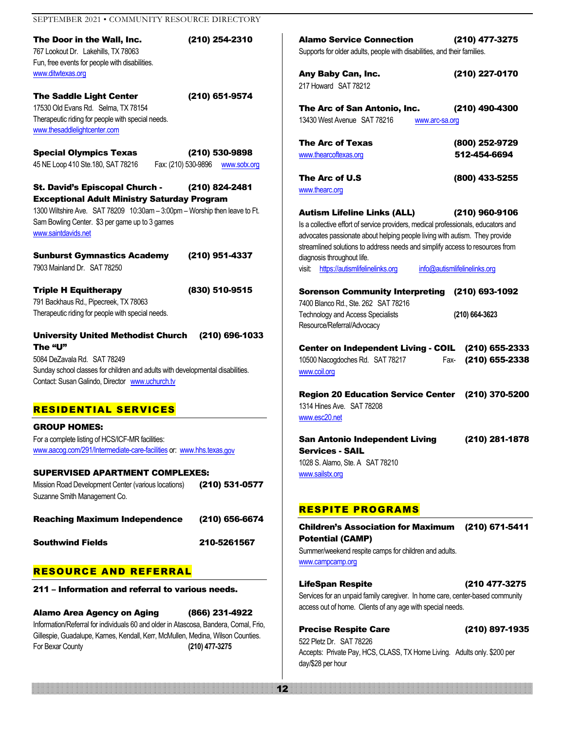| SEPTEMBER 2021 · COMMUNITY RESOURCE DIRECTORY                                                                                                                                                                            |                                     |                                                                                                                                                                                                                                                                                       |                                |
|--------------------------------------------------------------------------------------------------------------------------------------------------------------------------------------------------------------------------|-------------------------------------|---------------------------------------------------------------------------------------------------------------------------------------------------------------------------------------------------------------------------------------------------------------------------------------|--------------------------------|
| The Door in the Wall, Inc.<br>767 Lookout Dr. Lakehills, TX 78063<br>Fun, free events for people with disabilities.                                                                                                      | (210) 254-2310                      | <b>Alamo Service Connection</b><br>Supports for older adults, people with disabilities, and their families.                                                                                                                                                                           | (210) 477-3275                 |
| www.ditwtexas.org                                                                                                                                                                                                        |                                     | Any Baby Can, Inc.                                                                                                                                                                                                                                                                    | (210) 227-0170                 |
| <b>The Saddle Light Center</b><br>17530 Old Evans Rd. Selma, TX 78154<br>Therapeutic riding for people with special needs.<br>www.thesaddlelightcenter.com                                                               | (210) 651-9574                      | 217 Howard SAT 78212<br>The Arc of San Antonio, Inc.<br>13430 West Avenue SAT 78216<br>www.arc-sa.org                                                                                                                                                                                 | (210) 490-4300                 |
| <b>Special Olympics Texas</b>                                                                                                                                                                                            | (210) 530-9898                      | <b>The Arc of Texas</b><br>www.thearcoftexas.org                                                                                                                                                                                                                                      | (800) 252-9729<br>512-454-6694 |
| 45 NE Loop 410 Ste.180, SAT 78216                                                                                                                                                                                        | Fax: (210) 530-9896<br>www.sotx.org |                                                                                                                                                                                                                                                                                       |                                |
| St. David's Episcopal Church -<br><b>Exceptional Adult Ministry Saturday Program</b>                                                                                                                                     | (210) 824-2481                      | The Arc of U.S<br>www.thearc.org                                                                                                                                                                                                                                                      | (800) 433-5255                 |
| 1300 Wiltshire Ave. SAT 78209 10:30am - 3:00pm - Worship then leave to Ft.<br>Sam Bowling Center. \$3 per game up to 3 games<br>www.saintdavids.net                                                                      |                                     | <b>Autism Lifeline Links (ALL)</b><br>Is a collective effort of service providers, medical professionals, educators and<br>advocates passionate about helping people living with autism. They provide<br>streamlined solutions to address needs and simplify access to resources from | (210) 960-9106                 |
| <b>Sunburst Gymnastics Academy</b><br>7903 Mainland Dr. SAT 78250                                                                                                                                                        | (210) 951-4337                      | diagnosis throughout life.<br>visit: https://autismlifelinelinks.org                                                                                                                                                                                                                  | info@autismlifelinelinks.org   |
| <b>Triple H Equitherapy</b><br>791 Backhaus Rd., Pipecreek, TX 78063<br>Therapeutic riding for people with special needs.                                                                                                | (830) 510-9515                      | Sorenson Community Interpreting (210) 693-1092<br>7400 Blanco Rd., Ste. 262 SAT 78216<br><b>Technology and Access Specialists</b><br>Resource/Referral/Advocacy                                                                                                                       | (210) 664-3623                 |
| <b>University United Methodist Church</b><br>The "U"<br>5084 DeZavala Rd. SAT 78249<br>Sunday school classes for children and adults with developmental disabilities.<br>Contact: Susan Galindo, Director www.uchurch.tv | (210) 696-1033                      | Center on Independent Living - COIL (210) 655-2333<br>10500 Nacogdoches Rd. SAT 78217<br>Fax-<br>www.coil.org                                                                                                                                                                         | (210) 655-2338                 |
| <b>RESIDENTIAL SERVICES</b>                                                                                                                                                                                              |                                     | Region 20 Education Service Center (210) 370-5200<br>1314 Hines Ave. SAT 78208<br>www.esc20.net                                                                                                                                                                                       |                                |
| <b>GROUP HOMES:</b><br>For a complete listing of HCS/ICF-MR facilities:<br>www.aacog.com/291/Intermediate-care-facilities or: www.hhs.texas.gov                                                                          |                                     | <b>San Antonio Independent Living</b><br><b>Services - SAIL</b><br>1028 S. Alamo, Ste. A SAT 78210                                                                                                                                                                                    | (210) 281-1878                 |
| <b>SUPERVISED APARTMENT COMPLEXES:</b><br>Mission Road Development Center (various locations)<br>Suzanne Smith Management Co.                                                                                            | (210) 531-0577                      | www.sailstx.org                                                                                                                                                                                                                                                                       |                                |
| <b>Reaching Maximum Independence</b>                                                                                                                                                                                     | (210) 656-6674                      | <b>RESPITE PROGRAMS</b>                                                                                                                                                                                                                                                               |                                |
| <b>Southwind Fields</b>                                                                                                                                                                                                  | 210-5261567                         | <b>Children's Association for Maximum</b><br><b>Potential (CAMP)</b><br>Summer/weekend respite camps for children and adults.<br>www.campcamp.org                                                                                                                                     | (210) 671-5411                 |
| <b>RESOURCE AND REFERRAL</b>                                                                                                                                                                                             |                                     |                                                                                                                                                                                                                                                                                       |                                |
| 211 – Information and referral to various needs.                                                                                                                                                                         |                                     | <b>LifeSpan Respite</b><br>Services for an unpaid family caregiver. In home care, center-based community                                                                                                                                                                              | (210 477-3275                  |

12

Alamo Area Agency on Aging (866) 231-4922 Information/Referral for individuals 60 and older in Atascosa, Bandera, Comal, Frio, Gillespie, Guadalupe, Karnes, Kendall, Kerr, McMullen, Medina, Wilson Counties. For Bexar County **(210) 477-3275**

Precise Respite Care (210) 897-1935 522 Pletz Dr. SAT 78226 Accepts: Private Pay, HCS, CLASS, TX Home Living. Adults only. \$200 per day/\$28 per hour

access out of home. Clients of any age with special needs.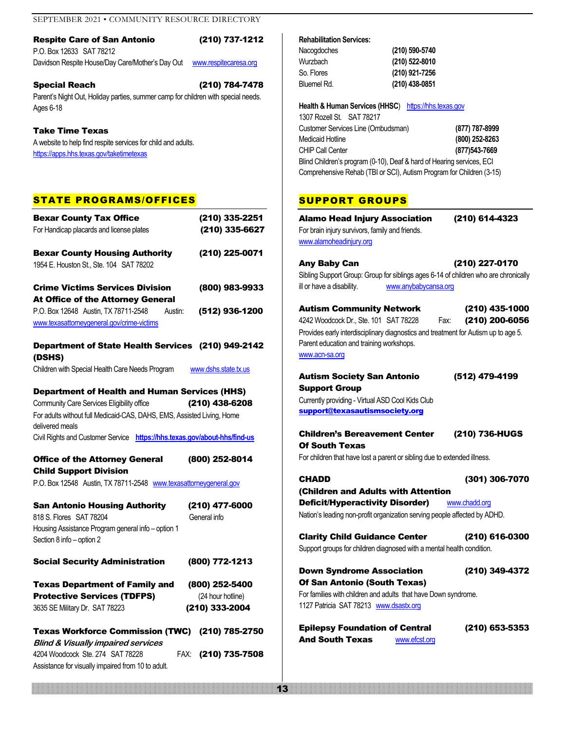#### Respite Care of San Antonio (210) 737-1212 P.O. Box 12633 SAT 78212

Davidson Respite House/Day Care/Mother's Day Out [www.respitecaresa.org](http://www.esc20.net/)

#### Special Reach (210) 784-7478

Parent's Night Out, Holiday parties, summer camp for children with special needs. Ages 6-18

#### Take Time Texas

A website to help find respite services for child and adults. <https://apps.hhs.texas.gov/taketimetexas>

#### STATE PROGRAMS/OFFICES

| <b>Bexar County Tax Office</b><br>For Handicap placards and license plates                                                                                                                                                           | (210) 335-2251<br>(210) 335-6627                          |
|--------------------------------------------------------------------------------------------------------------------------------------------------------------------------------------------------------------------------------------|-----------------------------------------------------------|
| <b>Bexar County Housing Authority</b><br>1954 E. Houston St., Ste. 104 SAT 78202                                                                                                                                                     | (210) 225-0071                                            |
| <b>Crime Victims Services Division</b>                                                                                                                                                                                               | (800) 983-9933                                            |
| At Office of the Attorney General<br>P.O. Box 12648 Austin, TX 78711-2548<br>Austin:                                                                                                                                                 | (512) 936-1200                                            |
| www.texasattorneygeneral.gov/crime-victims                                                                                                                                                                                           |                                                           |
| Department of State Health Services (210) 949-2142<br>(DSHS)                                                                                                                                                                         |                                                           |
| Children with Special Health Care Needs Program                                                                                                                                                                                      | www.dshs.state.tx.us                                      |
| <b>Department of Health and Human Services (HHS)</b><br>Community Care Services Eligibility office<br>For adults without full Medicaid-CAS, DAHS, EMS, Assisted Living, Home<br>delivered meals<br>Civil Rights and Customer Service | (210) 438-6208<br>https://hhs.texas.gov/about-hhs/find-us |
| <b>Office of the Attorney General</b>                                                                                                                                                                                                | (800) 252-8014                                            |
| <b>Child Support Division</b><br>P.O. Box 12548 Austin, TX 78711-2548 www.texasattorneygeneral.gov                                                                                                                                   |                                                           |
| <b>San Antonio Housing Authority</b><br>818 S. Flores SAT 78204<br>Housing Assistance Program general info - option 1<br>Section 8 info - option 2                                                                                   | (210) 477-6000<br>General info                            |
| <b>Social Security Administration</b>                                                                                                                                                                                                | (800) 772-1213                                            |
| <b>Texas Department of Family and</b><br><b>Protective Services (TDFPS)</b><br>3635 SE Military Dr. SAT 78223                                                                                                                        | (800) 252-5400<br>(24 hour hotline)<br>(210) 333-2004     |
| <b>Texas Workforce Commission (TWC)</b><br><b>Blind &amp; Visually impaired services</b>                                                                                                                                             | (210) 785-2750                                            |

4204 Woodcock Ste. 274 SAT 78228 FAX: (210) 735-7508

Assistance for visually impaired from 10 to adult.

#### **Rehabilitation Services:**

| Nacogdoches | (210) 590-5740 |
|-------------|----------------|
| Wurzbach    | (210) 522-8010 |
| So. Flores  | (210) 921-7256 |
| Bluemel Rd. | (210) 438-0851 |

Health & Human Services (HHSC) [https://hhs.texas.gov](https://hhs.texas.gov/)

| 1307 Rozell St. SAT 78217                                             |                |
|-----------------------------------------------------------------------|----------------|
| Customer Services Line (Ombudsman)                                    | (877) 787-8999 |
| Medicaid Hotline                                                      | (800) 252-8263 |
| CHIP Call Center                                                      | (877) 543-7669 |
| Blind Children's program (0-10), Deaf & hard of Hearing services, ECI |                |
| Comprehensive Rehab (TBI or SCI), Autism Program for Children (3-15)  |                |

#### SUPPORT GROUPS

| <b>Alamo Head Injury Association</b><br>For brain injury survivors, family and friends.<br>www.alamoheadinjury.org                               | (210) 614-4323 |
|--------------------------------------------------------------------------------------------------------------------------------------------------|----------------|
|                                                                                                                                                  |                |
| Any Baby Can                                                                                                                                     | (210) 227-0170 |
| Sibling Support Group: Group for siblings ages 6-14 of children who are chronically                                                              |                |
| ill or have a disability.<br>www.anybabycansa.org                                                                                                |                |
| <b>Autism Community Network</b>                                                                                                                  | (210) 435-1000 |
| 4242 Woodcock Dr., Ste. 101 SAT 78228<br>Fax:                                                                                                    | (210) 200-6056 |
| Provides early interdisciplinary diagnostics and treatment for Autism up to age 5.<br>Parent education and training workshops.<br>www.acn-sa.org |                |
| <b>Autism Society San Antonio</b>                                                                                                                | (512) 479-4199 |
| Support Group                                                                                                                                    |                |
| Currently providing - Virtual ASD Cool Kids Club                                                                                                 |                |
| support@texasautismsociety.org                                                                                                                   |                |
| <b>Children's Bereavement Center</b><br><b>Of South Texas</b>                                                                                    | (210) 736-HUGS |
| For children that have lost a parent or sibling due to extended illness.                                                                         |                |
| CHADD                                                                                                                                            | (301) 306-7070 |
| (Children and Adults with Attention                                                                                                              |                |
| <b>Deficit/Hyperactivity Disorder)</b>                                                                                                           | www.chadd.org  |
| Nation's leading non-profit organization serving people affected by ADHD.                                                                        |                |
| <b>Clarity Child Guidance Center</b>                                                                                                             | (210) 616-0300 |
| Support groups for children diagnosed with a mental health condition.                                                                            |                |
| <b>Down Syndrome Association</b>                                                                                                                 | (210) 349-4372 |
| Of San Antonio (South Texas)                                                                                                                     |                |
| For families with children and adults that have Down syndrome.                                                                                   |                |
| 1127 Patricia SAT 78213 www.dsastx.org                                                                                                           |                |
| <b>Epilepsy Foundation of Central</b>                                                                                                            | (210) 653-5353 |
| <b>And South Texas</b><br>www.efcst.org                                                                                                          |                |

13